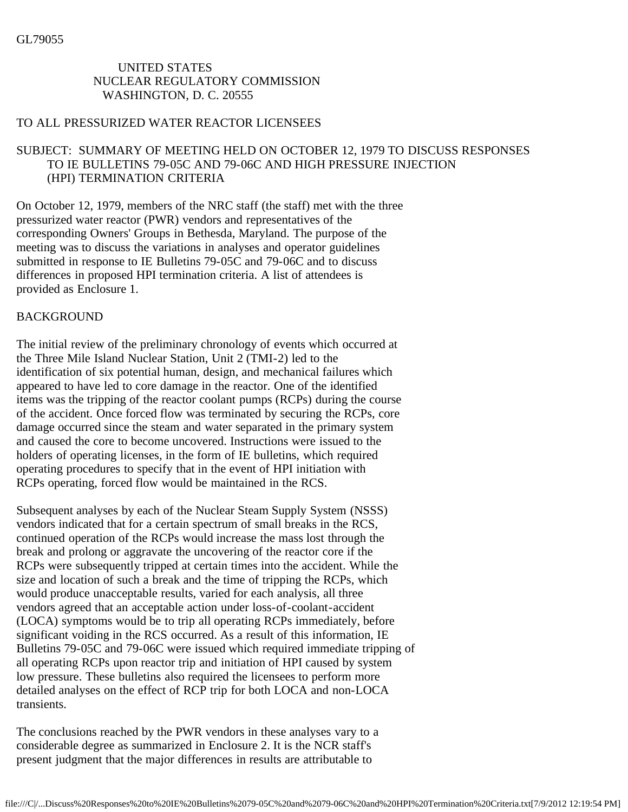## UNITED STATES NUCLEAR REGULATORY COMMISSION WASHINGTON, D. C. 20555

#### TO ALL PRESSURIZED WATER REACTOR LICENSEES

# SUBJECT: SUMMARY OF MEETING HELD ON OCTOBER 12, 1979 TO DISCUSS RESPONSES TO IE BULLETINS 79-05C AND 79-06C AND HIGH PRESSURE INJECTION (HPI) TERMINATION CRITERIA

On October 12, 1979, members of the NRC staff (the staff) met with the three pressurized water reactor (PWR) vendors and representatives of the corresponding Owners' Groups in Bethesda, Maryland. The purpose of the meeting was to discuss the variations in analyses and operator guidelines submitted in response to IE Bulletins 79-05C and 79-06C and to discuss differences in proposed HPI termination criteria. A list of attendees is provided as Enclosure 1.

## BACKGROUND

The initial review of the preliminary chronology of events which occurred at the Three Mile Island Nuclear Station, Unit 2 (TMI-2) led to the identification of six potential human, design, and mechanical failures which appeared to have led to core damage in the reactor. One of the identified items was the tripping of the reactor coolant pumps (RCPs) during the course of the accident. Once forced flow was terminated by securing the RCPs, core damage occurred since the steam and water separated in the primary system and caused the core to become uncovered. Instructions were issued to the holders of operating licenses, in the form of IE bulletins, which required operating procedures to specify that in the event of HPI initiation with RCPs operating, forced flow would be maintained in the RCS.

Subsequent analyses by each of the Nuclear Steam Supply System (NSSS) vendors indicated that for a certain spectrum of small breaks in the RCS, continued operation of the RCPs would increase the mass lost through the break and prolong or aggravate the uncovering of the reactor core if the RCPs were subsequently tripped at certain times into the accident. While the size and location of such a break and the time of tripping the RCPs, which would produce unacceptable results, varied for each analysis, all three vendors agreed that an acceptable action under loss-of-coolant-accident (LOCA) symptoms would be to trip all operating RCPs immediately, before significant voiding in the RCS occurred. As a result of this information, IE Bulletins 79-05C and 79-06C were issued which required immediate tripping of all operating RCPs upon reactor trip and initiation of HPI caused by system low pressure. These bulletins also required the licensees to perform more detailed analyses on the effect of RCP trip for both LOCA and non-LOCA transients.

The conclusions reached by the PWR vendors in these analyses vary to a considerable degree as summarized in Enclosure 2. It is the NCR staff's present judgment that the major differences in results are attributable to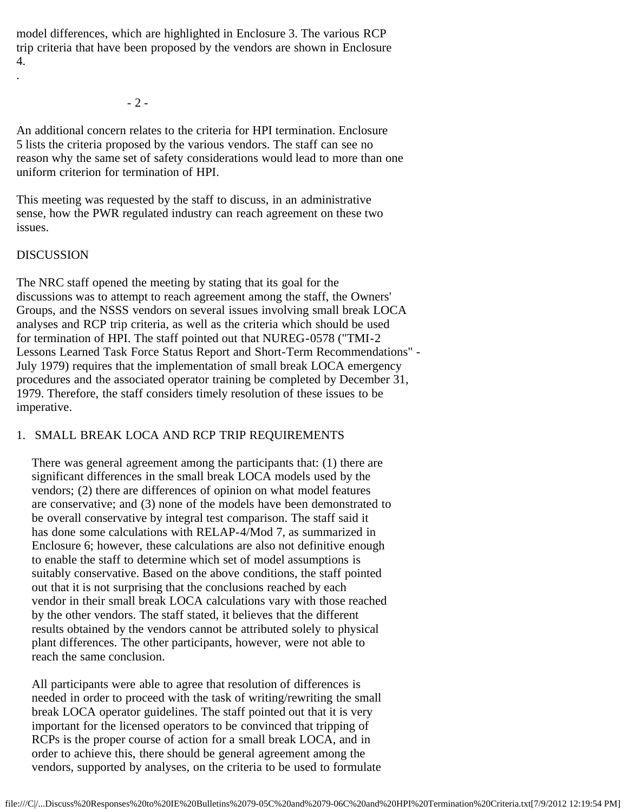model differences, which are highlighted in Enclosure 3. The various RCP trip criteria that have been proposed by the vendors are shown in Enclosure 4.

- 2 -

An additional concern relates to the criteria for HPI termination. Enclosure 5 lists the criteria proposed by the various vendors. The staff can see no reason why the same set of safety considerations would lead to more than one uniform criterion for termination of HPI.

This meeting was requested by the staff to discuss, in an administrative sense, how the PWR regulated industry can reach agreement on these two issues.

#### DISCUSSION

.

The NRC staff opened the meeting by stating that its goal for the discussions was to attempt to reach agreement among the staff, the Owners' Groups, and the NSSS vendors on several issues involving small break LOCA analyses and RCP trip criteria, as well as the criteria which should be used for termination of HPI. The staff pointed out that NUREG-0578 ("TMI-2 Lessons Learned Task Force Status Report and Short-Term Recommendations" - July 1979) requires that the implementation of small break LOCA emergency procedures and the associated operator training be completed by December 31, 1979. Therefore, the staff considers timely resolution of these issues to be imperative.

## 1. SMALL BREAK LOCA AND RCP TRIP REQUIREMENTS

 There was general agreement among the participants that: (1) there are significant differences in the small break LOCA models used by the vendors; (2) there are differences of opinion on what model features are conservative; and (3) none of the models have been demonstrated to be overall conservative by integral test comparison. The staff said it has done some calculations with RELAP-4/Mod 7, as summarized in Enclosure 6; however, these calculations are also not definitive enough to enable the staff to determine which set of model assumptions is suitably conservative. Based on the above conditions, the staff pointed out that it is not surprising that the conclusions reached by each vendor in their small break LOCA calculations vary with those reached by the other vendors. The staff stated, it believes that the different results obtained by the vendors cannot be attributed solely to physical plant differences. The other participants, however, were not able to reach the same conclusion.

 All participants were able to agree that resolution of differences is needed in order to proceed with the task of writing/rewriting the small break LOCA operator guidelines. The staff pointed out that it is very important for the licensed operators to be convinced that tripping of RCPs is the proper course of action for a small break LOCA, and in order to achieve this, there should be general agreement among the vendors, supported by analyses, on the criteria to be used to formulate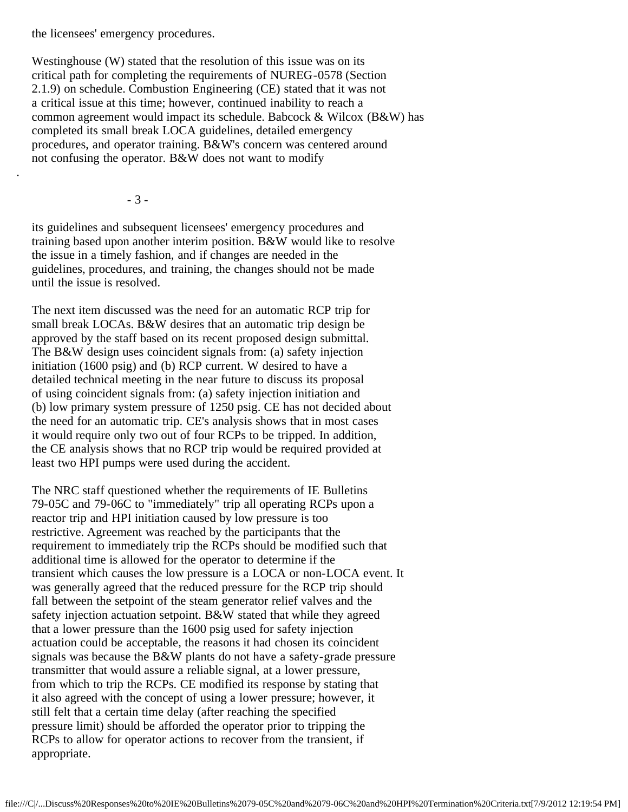the licensees' emergency procedures.

 Westinghouse (W) stated that the resolution of this issue was on its critical path for completing the requirements of NUREG-0578 (Section 2.1.9) on schedule. Combustion Engineering (CE) stated that it was not a critical issue at this time; however, continued inability to reach a common agreement would impact its schedule. Babcock & Wilcox (B&W) has completed its small break LOCA guidelines, detailed emergency procedures, and operator training. B&W's concern was centered around not confusing the operator. B&W does not want to modify

- 3 -

.

 its guidelines and subsequent licensees' emergency procedures and training based upon another interim position. B&W would like to resolve the issue in a timely fashion, and if changes are needed in the guidelines, procedures, and training, the changes should not be made until the issue is resolved.

 The next item discussed was the need for an automatic RCP trip for small break LOCAs. B&W desires that an automatic trip design be approved by the staff based on its recent proposed design submittal. The B&W design uses coincident signals from: (a) safety injection initiation (1600 psig) and (b) RCP current. W desired to have a detailed technical meeting in the near future to discuss its proposal of using coincident signals from: (a) safety injection initiation and (b) low primary system pressure of 1250 psig. CE has not decided about the need for an automatic trip. CE's analysis shows that in most cases it would require only two out of four RCPs to be tripped. In addition, the CE analysis shows that no RCP trip would be required provided at least two HPI pumps were used during the accident.

 The NRC staff questioned whether the requirements of IE Bulletins 79-05C and 79-06C to "immediately" trip all operating RCPs upon a reactor trip and HPI initiation caused by low pressure is too restrictive. Agreement was reached by the participants that the requirement to immediately trip the RCPs should be modified such that additional time is allowed for the operator to determine if the transient which causes the low pressure is a LOCA or non-LOCA event. It was generally agreed that the reduced pressure for the RCP trip should fall between the setpoint of the steam generator relief valves and the safety injection actuation setpoint. B&W stated that while they agreed that a lower pressure than the 1600 psig used for safety injection actuation could be acceptable, the reasons it had chosen its coincident signals was because the B&W plants do not have a safety-grade pressure transmitter that would assure a reliable signal, at a lower pressure, from which to trip the RCPs. CE modified its response by stating that it also agreed with the concept of using a lower pressure; however, it still felt that a certain time delay (after reaching the specified pressure limit) should be afforded the operator prior to tripping the RCPs to allow for operator actions to recover from the transient, if appropriate.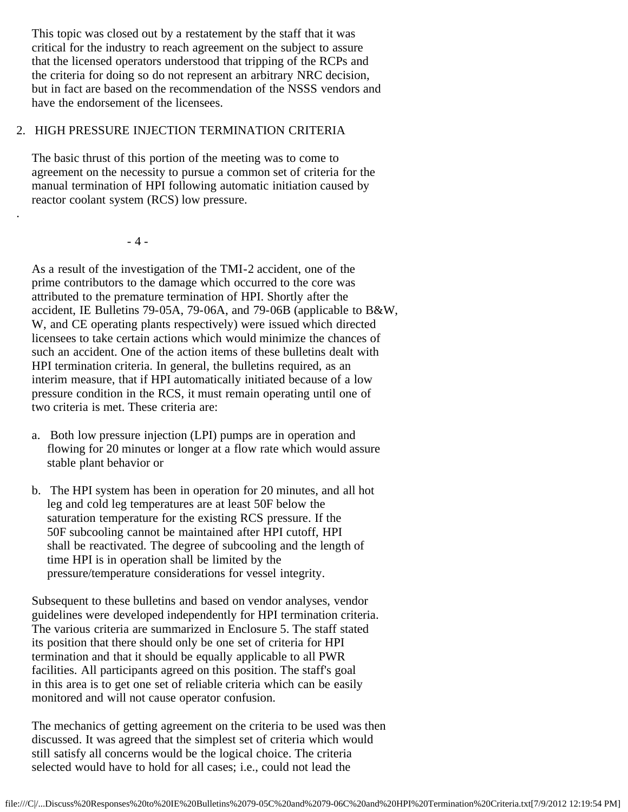This topic was closed out by a restatement by the staff that it was critical for the industry to reach agreement on the subject to assure that the licensed operators understood that tripping of the RCPs and the criteria for doing so do not represent an arbitrary NRC decision, but in fact are based on the recommendation of the NSSS vendors and have the endorsement of the licensees.

# 2. HIGH PRESSURE INJECTION TERMINATION CRITERIA

 The basic thrust of this portion of the meeting was to come to agreement on the necessity to pursue a common set of criteria for the manual termination of HPI following automatic initiation caused by reactor coolant system (RCS) low pressure.

- 4 -

.

 As a result of the investigation of the TMI-2 accident, one of the prime contributors to the damage which occurred to the core was attributed to the premature termination of HPI. Shortly after the accident, IE Bulletins 79-05A, 79-06A, and 79-06B (applicable to B&W, W, and CE operating plants respectively) were issued which directed licensees to take certain actions which would minimize the chances of such an accident. One of the action items of these bulletins dealt with HPI termination criteria. In general, the bulletins required, as an interim measure, that if HPI automatically initiated because of a low pressure condition in the RCS, it must remain operating until one of two criteria is met. These criteria are:

- a. Both low pressure injection (LPI) pumps are in operation and flowing for 20 minutes or longer at a flow rate which would assure stable plant behavior or
- b. The HPI system has been in operation for 20 minutes, and all hot leg and cold leg temperatures are at least 50F below the saturation temperature for the existing RCS pressure. If the 50F subcooling cannot be maintained after HPI cutoff, HPI shall be reactivated. The degree of subcooling and the length of time HPI is in operation shall be limited by the pressure/temperature considerations for vessel integrity.

 Subsequent to these bulletins and based on vendor analyses, vendor guidelines were developed independently for HPI termination criteria. The various criteria are summarized in Enclosure 5. The staff stated its position that there should only be one set of criteria for HPI termination and that it should be equally applicable to all PWR facilities. All participants agreed on this position. The staff's goal in this area is to get one set of reliable criteria which can be easily monitored and will not cause operator confusion.

 The mechanics of getting agreement on the criteria to be used was then discussed. It was agreed that the simplest set of criteria which would still satisfy all concerns would be the logical choice. The criteria selected would have to hold for all cases; i.e., could not lead the